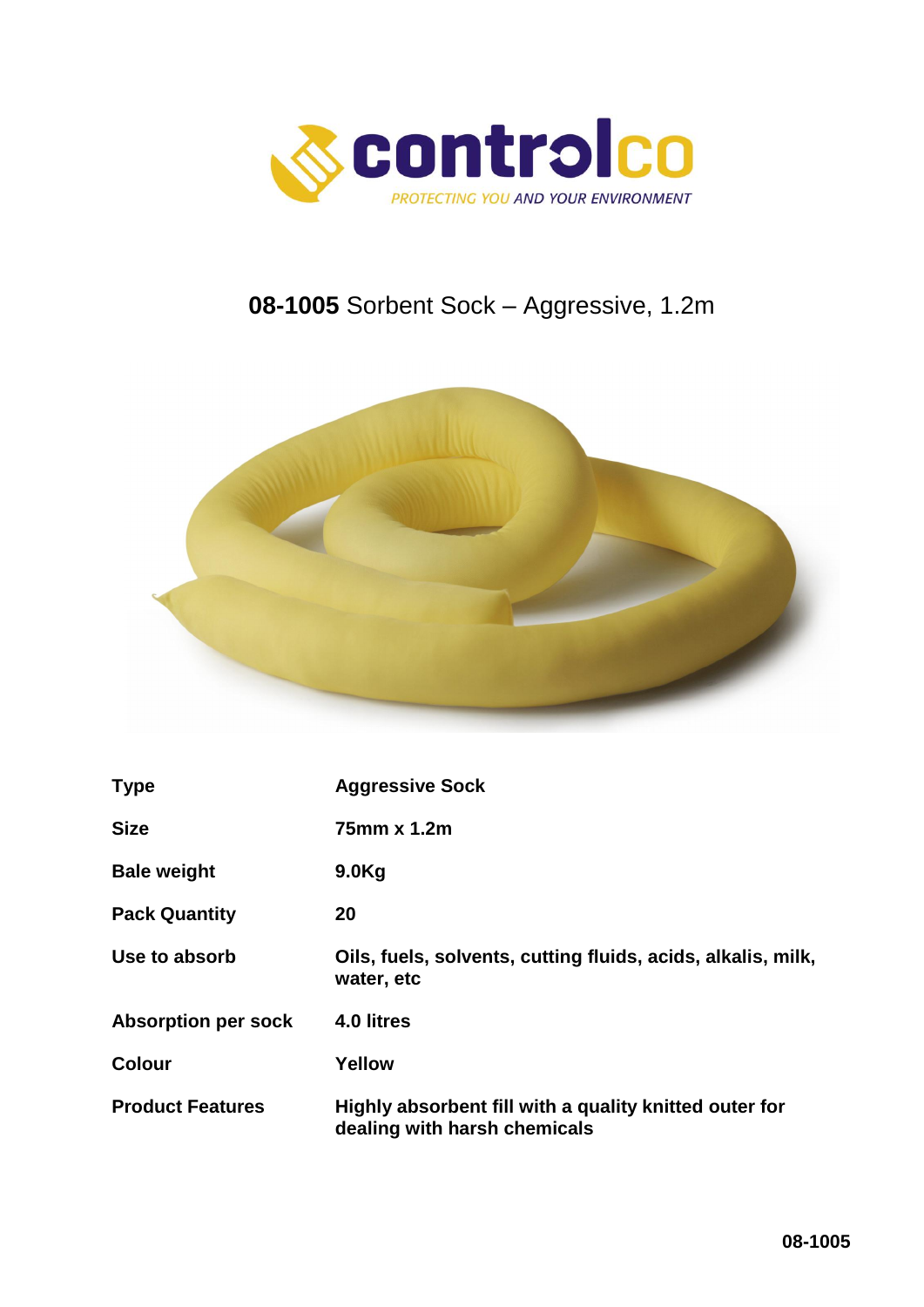

# **08-1005** Sorbent Sock – Aggressive, 1.2m



| <b>Type</b>                | <b>Aggressive Sock</b>                                                                 |
|----------------------------|----------------------------------------------------------------------------------------|
| <b>Size</b>                | 75mm x 1.2m                                                                            |
| <b>Bale weight</b>         | 9.0 <sub>g</sub>                                                                       |
| <b>Pack Quantity</b>       | 20                                                                                     |
| Use to absorb              | Oils, fuels, solvents, cutting fluids, acids, alkalis, milk,<br>water, etc             |
| <b>Absorption per sock</b> | 4.0 litres                                                                             |
| <b>Colour</b>              | Yellow                                                                                 |
| <b>Product Features</b>    | Highly absorbent fill with a quality knitted outer for<br>dealing with harsh chemicals |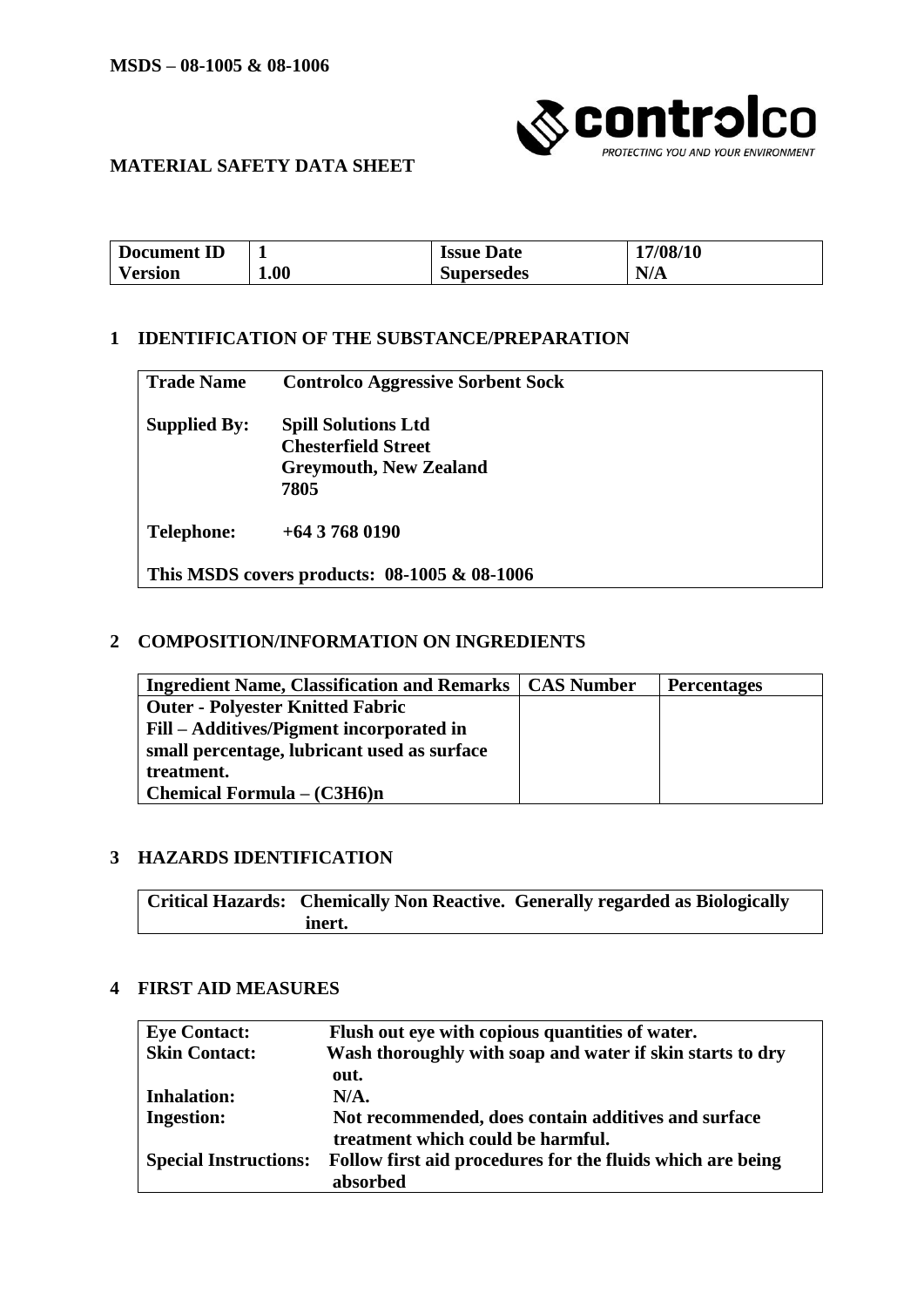

### **MATERIAL SAFETY DATA SHEET**

| m<br>Document<br>IJΟ |      | <b>Issue Date</b> | 17/08/10              |
|----------------------|------|-------------------|-----------------------|
| ⁄ ersıon             | 1.00 | <b>Supersedes</b> | $\mathbf{N}$<br>11/12 |

### **1 IDENTIFICATION OF THE SUBSTANCE/PREPARATION**

| <b>Trade Name</b>                            | <b>Controlco Aggressive Sorbent Sock</b>                                                          |
|----------------------------------------------|---------------------------------------------------------------------------------------------------|
| <b>Supplied By:</b>                          | <b>Spill Solutions Ltd</b><br><b>Chesterfield Street</b><br><b>Greymouth, New Zealand</b><br>7805 |
| <b>Telephone:</b>                            | $+6437680190$                                                                                     |
| This MSDS covers products: 08-1005 & 08-1006 |                                                                                                   |

#### **2 COMPOSITION/INFORMATION ON INGREDIENTS**

| <b>Ingredient Name, Classification and Remarks   CAS Number</b> | <b>Percentages</b> |
|-----------------------------------------------------------------|--------------------|
| <b>Outer - Polyester Knitted Fabric</b>                         |                    |
| Fill – Additives/Pigment incorporated in                        |                    |
| small percentage, lubricant used as surface                     |                    |
| treatment.                                                      |                    |
| <b>Chemical Formula – <math>(C3H6)n</math></b>                  |                    |

#### **3 HAZARDS IDENTIFICATION**

**Critical Hazards: Chemically Non Reactive. Generally regarded as Biologically inert.**

### **4 FIRST AID MEASURES**

| <b>Eye Contact:</b>          | Flush out eye with copious quantities of water.            |
|------------------------------|------------------------------------------------------------|
| <b>Skin Contact:</b>         | Wash thoroughly with soap and water if skin starts to dry  |
|                              | out.                                                       |
| <b>Inhalation:</b>           | N/A.                                                       |
| <b>Ingestion:</b>            | Not recommended, does contain additives and surface        |
|                              | treatment which could be harmful.                          |
| <b>Special Instructions:</b> | Follow first aid procedures for the fluids which are being |
|                              | absorbed                                                   |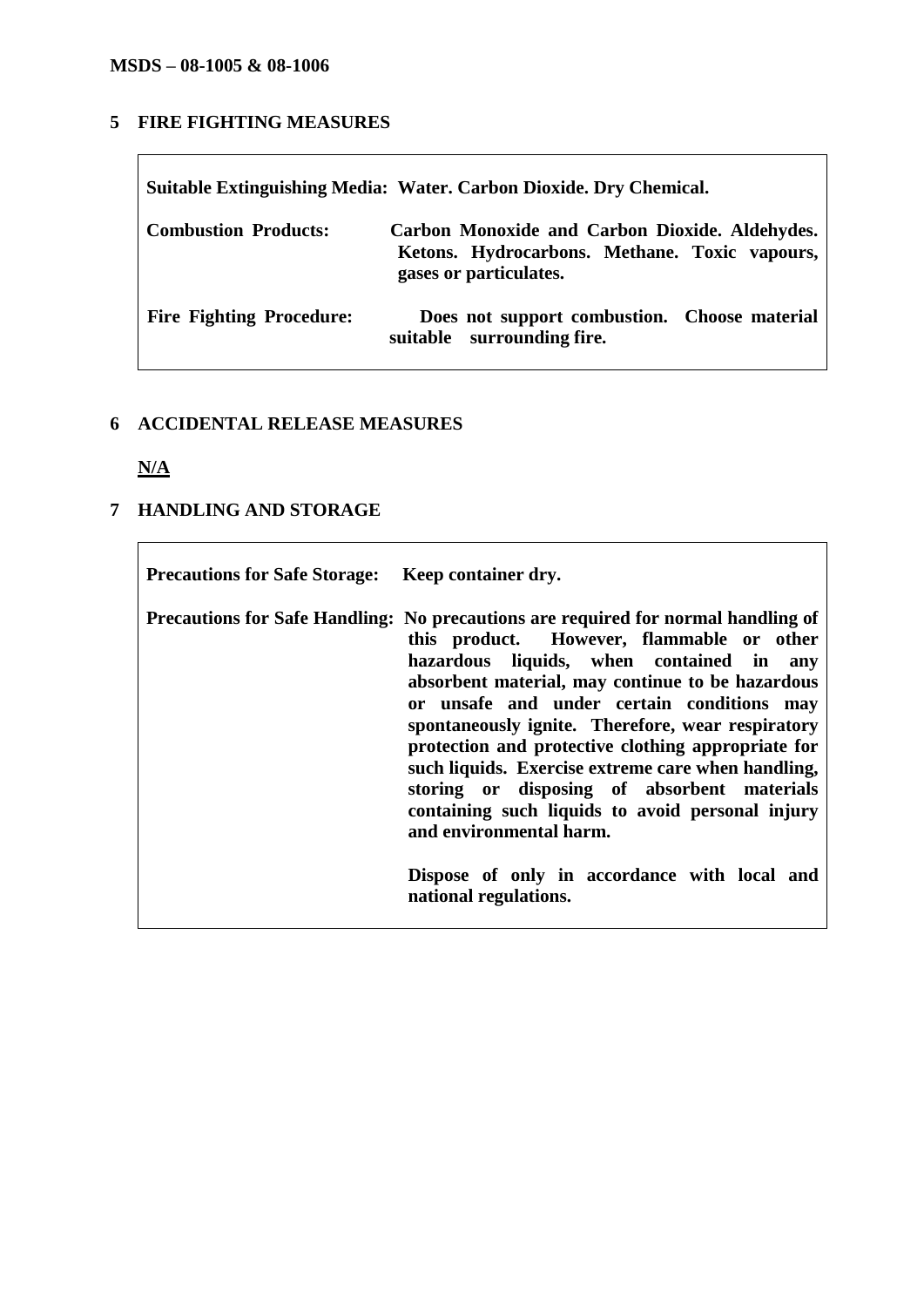# **5 FIRE FIGHTING MEASURES**

| Suitable Extinguishing Media: Water. Carbon Dioxide. Dry Chemical. |                                                                                                                           |  |
|--------------------------------------------------------------------|---------------------------------------------------------------------------------------------------------------------------|--|
| <b>Combustion Products:</b>                                        | Carbon Monoxide and Carbon Dioxide. Aldehydes.<br>Ketons. Hydrocarbons. Methane. Toxic vapours,<br>gases or particulates. |  |
| <b>Fire Fighting Procedure:</b>                                    | Does not support combustion. Choose material<br>suitable surrounding fire.                                                |  |

### **6 ACCIDENTAL RELEASE MEASURES**

**N/A**

# **7 HANDLING AND STORAGE**

| Precautions for Safe Storage: Keep container dry. |                                                                                                                                                                                                                                                                                                                                                                                                                                                                                                                                                                                                                             |
|---------------------------------------------------|-----------------------------------------------------------------------------------------------------------------------------------------------------------------------------------------------------------------------------------------------------------------------------------------------------------------------------------------------------------------------------------------------------------------------------------------------------------------------------------------------------------------------------------------------------------------------------------------------------------------------------|
|                                                   | Precautions for Safe Handling: No precautions are required for normal handling of<br>this product. However, flammable or other<br>hazardous liquids, when contained in any<br>absorbent material, may continue to be hazardous<br>or unsafe and under certain conditions may<br>spontaneously ignite. Therefore, wear respiratory<br>protection and protective clothing appropriate for<br>such liquids. Exercise extreme care when handling,<br>storing or disposing of absorbent materials<br>containing such liquids to avoid personal injury<br>and environmental harm.<br>Dispose of only in accordance with local and |
|                                                   | national regulations.                                                                                                                                                                                                                                                                                                                                                                                                                                                                                                                                                                                                       |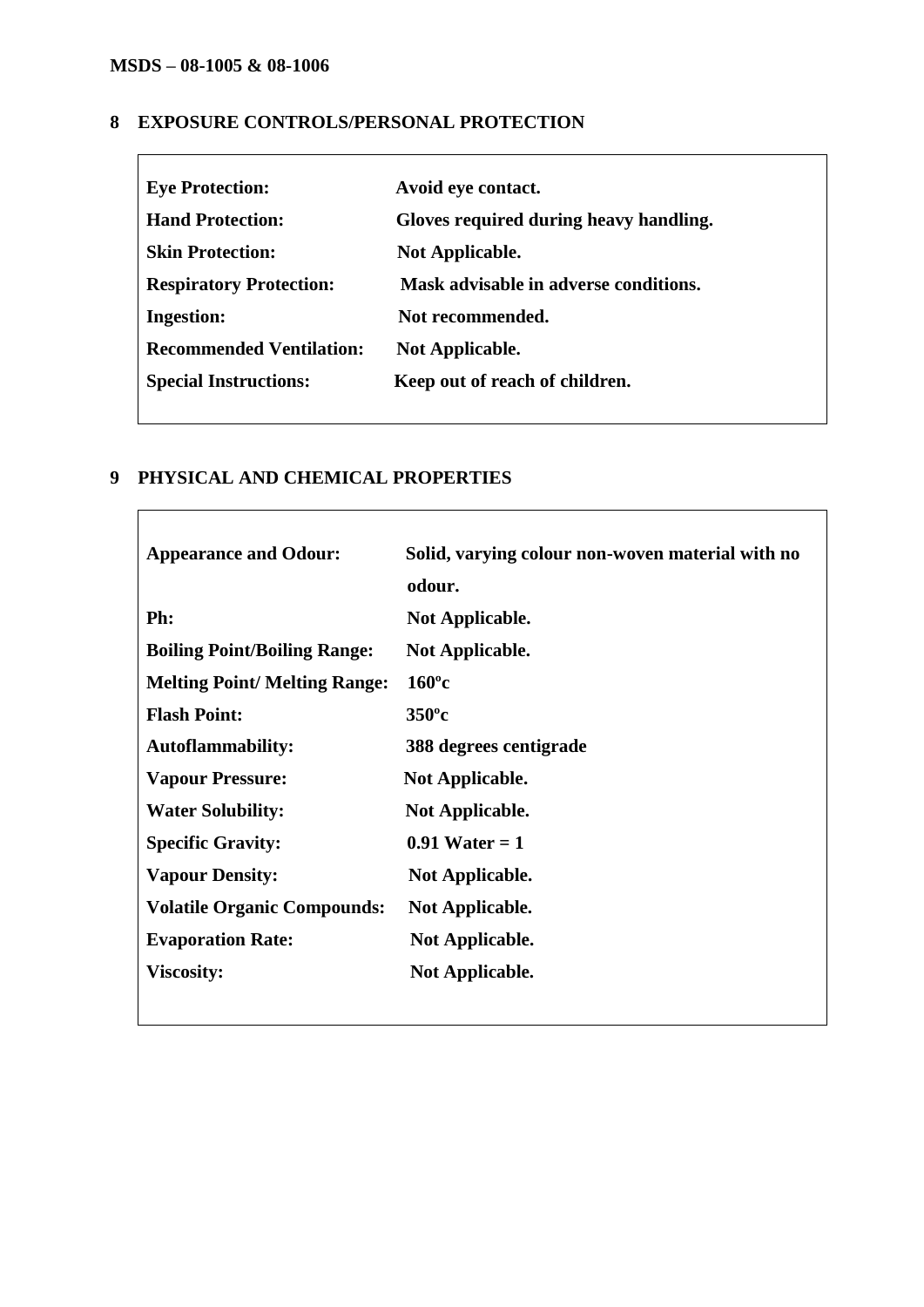$\mathbf{I}$ 

### **8 EXPOSURE CONTROLS/PERSONAL PROTECTION**

| <b>Eye Protection:</b>          | Avoid eye contact.                     |
|---------------------------------|----------------------------------------|
| <b>Hand Protection:</b>         | Gloves required during heavy handling. |
| <b>Skin Protection:</b>         | <b>Not Applicable.</b>                 |
| <b>Respiratory Protection:</b>  | Mask advisable in adverse conditions.  |
| <b>Ingestion:</b>               | Not recommended.                       |
| <b>Recommended Ventilation:</b> | <b>Not Applicable.</b>                 |
| <b>Special Instructions:</b>    | Keep out of reach of children.         |
|                                 |                                        |

# **9 PHYSICAL AND CHEMICAL PROPERTIES**

| <b>Appearance and Odour:</b>         | Solid, varying colour non-woven material with no<br>odour. |
|--------------------------------------|------------------------------------------------------------|
| Ph:                                  | <b>Not Applicable.</b>                                     |
| <b>Boiling Point/Boiling Range:</b>  | <b>Not Applicable.</b>                                     |
| <b>Melting Point/ Melting Range:</b> | $160^{\circ}c$                                             |
| <b>Flash Point:</b>                  | $350^{\circ}c$                                             |
| <b>Autoflammability:</b>             | 388 degrees centigrade                                     |
| <b>Vapour Pressure:</b>              | <b>Not Applicable.</b>                                     |
| <b>Water Solubility:</b>             | <b>Not Applicable.</b>                                     |
| <b>Specific Gravity:</b>             | $0.91$ Water = 1                                           |
| <b>Vapour Density:</b>               | <b>Not Applicable.</b>                                     |
| <b>Volatile Organic Compounds:</b>   | <b>Not Applicable.</b>                                     |
| <b>Evaporation Rate:</b>             | <b>Not Applicable.</b>                                     |
| <b>Viscosity:</b>                    | <b>Not Applicable.</b>                                     |
|                                      |                                                            |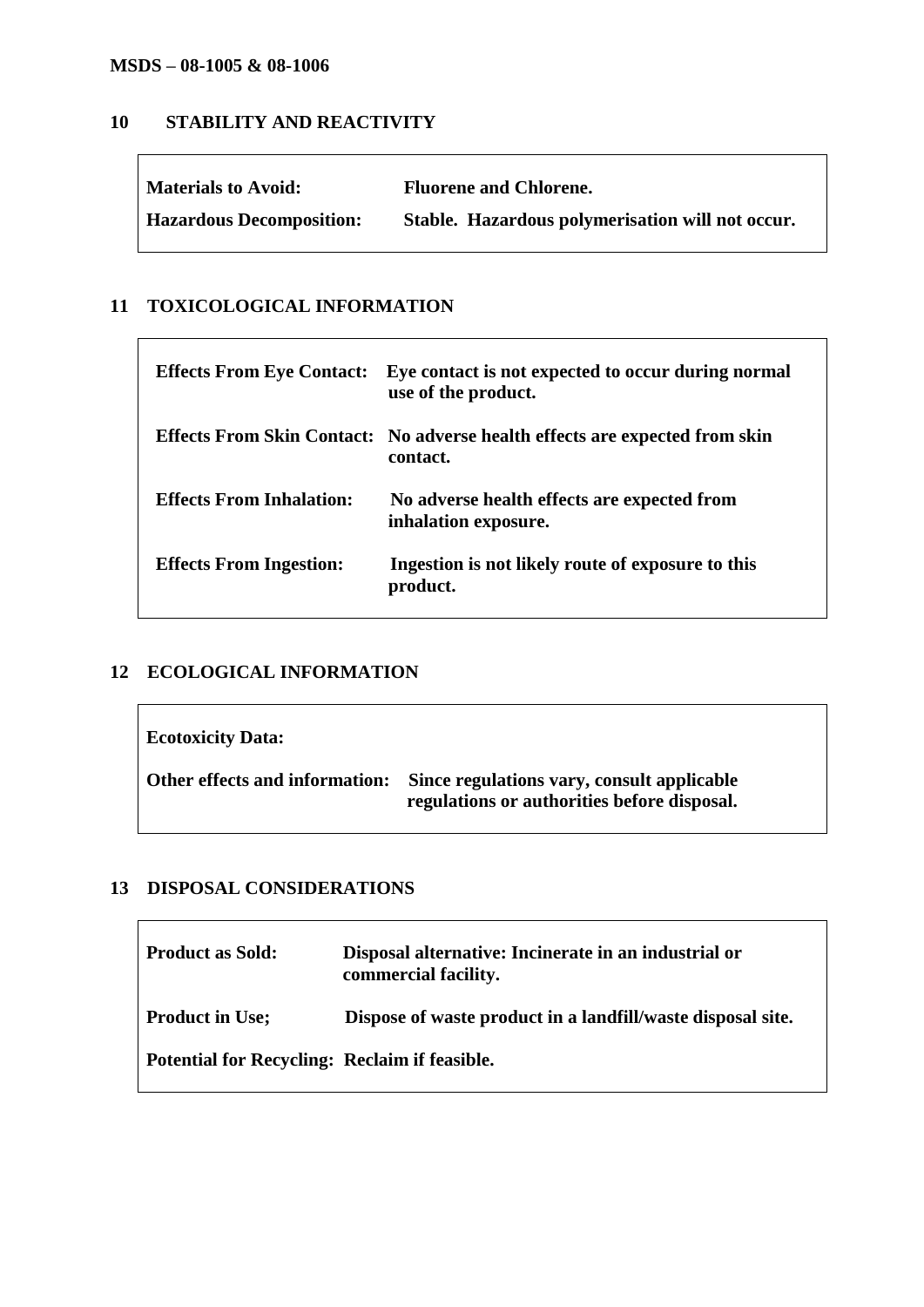### **MSDS – 08-1005 & 08-1006**

### **10 STABILITY AND REACTIVITY**

| <b>Materials to Avoid:</b>      | <b>Fluorene and Chlorene.</b>                    |
|---------------------------------|--------------------------------------------------|
| <b>Hazardous Decomposition:</b> | Stable. Hazardous polymerisation will not occur. |

### **11 TOXICOLOGICAL INFORMATION**

| <b>Effects From Eye Contact:</b> | Eye contact is not expected to occur during normal<br>use of the product.                      |
|----------------------------------|------------------------------------------------------------------------------------------------|
|                                  | <b>Effects From Skin Contact:</b> No adverse health effects are expected from skin<br>contact. |
| <b>Effects From Inhalation:</b>  | No adverse health effects are expected from<br>inhalation exposure.                            |
| <b>Effects From Ingestion:</b>   | Ingestion is not likely route of exposure to this<br>product.                                  |

# **12 ECOLOGICAL INFORMATION**

| <b>Ecotoxicity Data:</b>       |                                                                                           |
|--------------------------------|-------------------------------------------------------------------------------------------|
| Other effects and information: | Since regulations vary, consult applicable<br>regulations or authorities before disposal. |

## **13 DISPOSAL CONSIDERATIONS**

| <b>Product as Sold:</b>                              | Disposal alternative: Incinerate in an industrial or<br>commercial facility. |
|------------------------------------------------------|------------------------------------------------------------------------------|
| <b>Product in Use;</b>                               | Dispose of waste product in a landfill/waste disposal site.                  |
| <b>Potential for Recycling: Reclaim if feasible.</b> |                                                                              |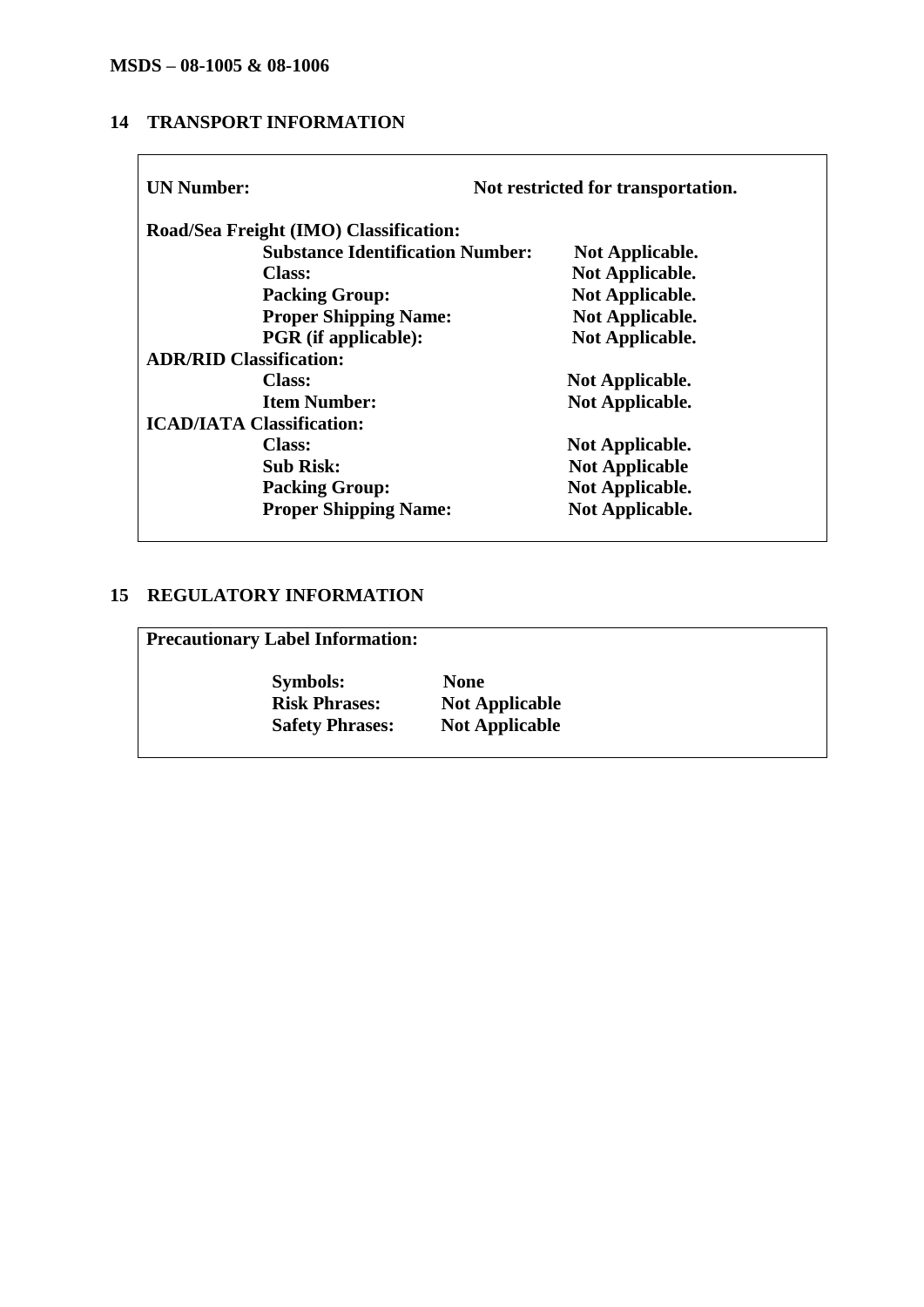## **14 TRANSPORT INFORMATION**

| <b>UN Number:</b>                      |                                         | Not restricted for transportation. |
|----------------------------------------|-----------------------------------------|------------------------------------|
| Road/Sea Freight (IMO) Classification: |                                         |                                    |
|                                        | <b>Substance Identification Number:</b> | Not Applicable.                    |
| <b>Class:</b>                          |                                         | Not Applicable.                    |
| <b>Packing Group:</b>                  |                                         | Not Applicable.                    |
|                                        | <b>Proper Shipping Name:</b>            | Not Applicable.                    |
|                                        | <b>PGR</b> (if applicable):             | Not Applicable.                    |
| <b>ADR/RID Classification:</b>         |                                         |                                    |
| <b>Class:</b>                          |                                         | Not Applicable.                    |
| <b>Item Number:</b>                    |                                         | Not Applicable.                    |
| <b>ICAD/IATA Classification:</b>       |                                         |                                    |
| <b>Class:</b>                          |                                         | Not Applicable.                    |
| <b>Sub Risk:</b>                       |                                         | <b>Not Applicable</b>              |
| <b>Packing Group:</b>                  |                                         | Not Applicable.                    |
|                                        | <b>Proper Shipping Name:</b>            | Not Applicable.                    |

## **15 REGULATORY INFORMATION**

**Precautionary Label Information:**

 **Symbols: None Risk Phrases: Not Applicable<br>Safety Phrases: Not Applicable Safety Phrases:**